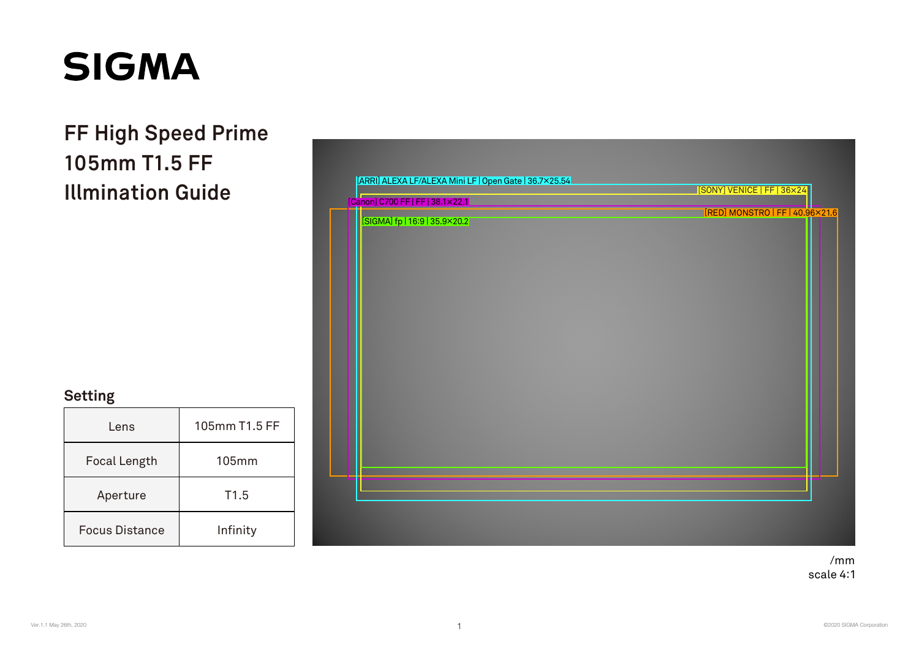**Illmination Guide 105mm T1.5 FF FF High Speed Prime**

| [Canon] C700 FF   FF   38.1×22.1 | [SONY] VENICE   FF   36×24      |
|----------------------------------|---------------------------------|
| [SIGMA] fp   16:9   35.9×20.2    | [RED] MONSTRO   FF   40.96×21.6 |
|                                  |                                 |
|                                  |                                 |
|                                  |                                 |
|                                  |                                 |
|                                  |                                 |
|                                  |                                 |

| Lens                  | 105mm T1.5 FF |
|-----------------------|---------------|
| Focal Length          | $105$ mm      |
| Aperture              | T1.5          |
| <b>Focus Distance</b> | Infinity      |

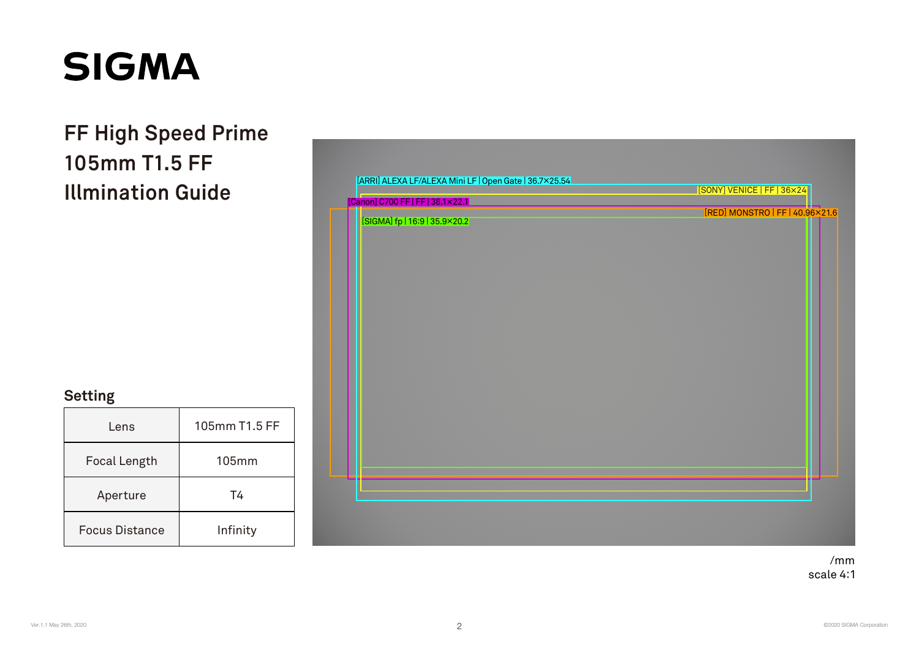**Illmination Guide 105mm T1.5 FF FF High Speed Prime**



| Lens                  | 105mm T1.5 FF |
|-----------------------|---------------|
| Focal Length          | $105$ mm      |
| Aperture              | Τ4            |
| <b>Focus Distance</b> | Infinity      |

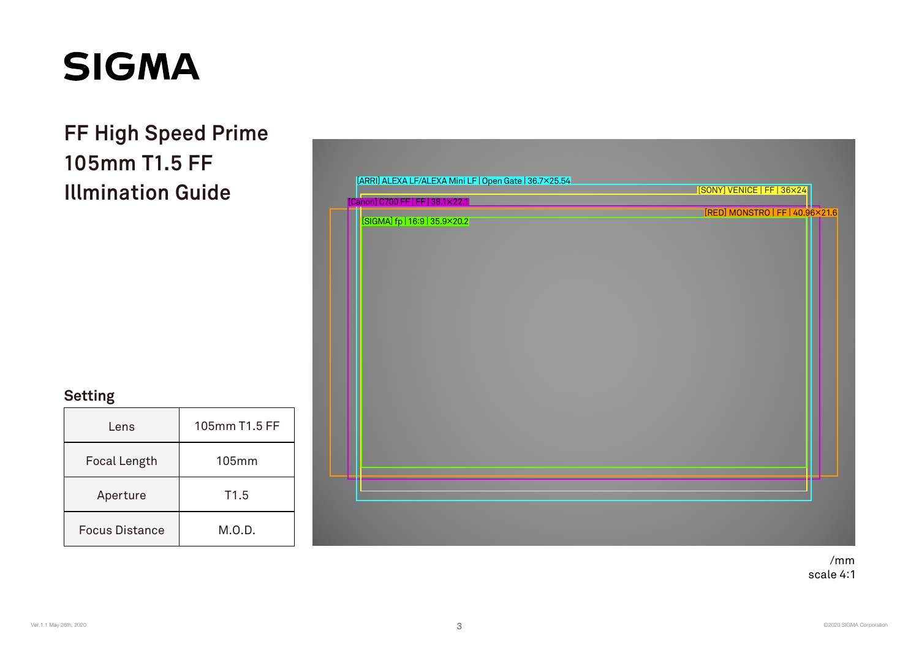**Illmination Guide 105mm T1.5 FF FF High Speed Prime**



| Lens                  | 105mm T1.5 FF    |
|-----------------------|------------------|
| Focal Length          | $105$ mm         |
| Aperture              | T <sub>1.5</sub> |
| <b>Focus Distance</b> | M.O.D.           |